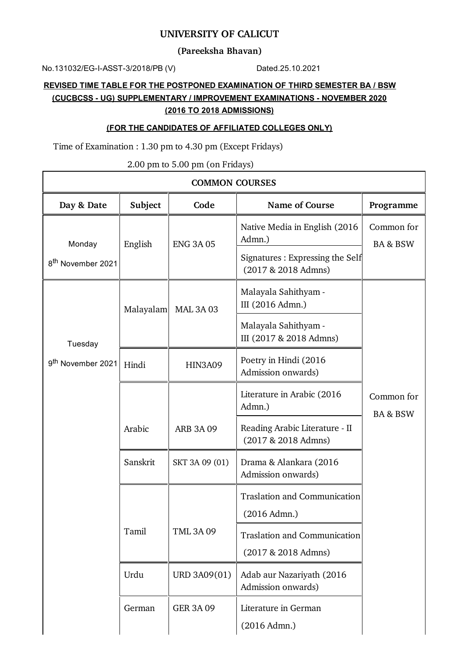### **UNIVERSITY OF CALICUT**

**(Pareeksha Bhavan)**

No.131032/EG-I-ASST-3/2018/PB (V) Dated.25.10.2021

 $\mathbf{r}$ 

# **REVISED TIME TABLE FOR THE POSTPONED EXAMINATION OF THIRD SEMESTER BA / BSW (CUCBCSS - UG) SUPPLEMENTARY / IMPROVEMENT EXAMINATIONS - NOVEMBER 2020 (2016 TO 2018 ADMISSIONS)**

#### **(FOR THE CANDIDATES OF AFFILIATED COLLEGES ONLY)**

Time of Examination : 1.30 pm to 4.30 pm (Except Fridays)

2.00 pm to 5.00 pm (on Fridays)

| <b>COMMON COURSES</b>         |                          |                  |                                                              |                                   |  |
|-------------------------------|--------------------------|------------------|--------------------------------------------------------------|-----------------------------------|--|
| Day & Date                    | Subject                  | Code             | <b>Name of Course</b>                                        | Programme                         |  |
| Monday                        | English                  | <b>ENG 3A 05</b> | Native Media in English (2016)<br>Admn.)                     | Common for<br><b>BA &amp; BSW</b> |  |
| 8 <sup>th</sup> November 2021 |                          |                  | Signatures : Expressing the Self<br>(2017 & 2018 Admns)      |                                   |  |
|                               | Malayalam                | <b>MAL 3A 03</b> | Malayala Sahithyam -<br>III (2016 Admn.)                     |                                   |  |
| Tuesday                       |                          |                  | Malayala Sahithyam -<br>III (2017 & 2018 Admns)              |                                   |  |
| 9 <sup>th</sup> November 2021 | Hindi                    | <b>HIN3A09</b>   | Poetry in Hindi (2016<br>Admission onwards)                  |                                   |  |
|                               |                          |                  | Literature in Arabic (2016<br>Admn.)                         | Common for<br><b>BA &amp; BSW</b> |  |
|                               | Arabic                   | <b>ARB 3A 09</b> | Reading Arabic Literature - II<br>(2017 & 2018 Admns)        |                                   |  |
|                               | Sanskrit                 | SKT 3A 09 (01)   | Drama & Alankara (2016<br>Admission onwards)                 |                                   |  |
|                               |                          |                  | <b>Traslation and Communication</b><br>(2016 Admn.)          |                                   |  |
|                               | Tamil<br><b>TML 3A09</b> |                  | <b>Traslation and Communication</b><br>$(2017 & 2018$ Admns) |                                   |  |
|                               | Urdu                     | URD 3A09(01)     | Adab aur Nazariyath (2016<br>Admission onwards)              |                                   |  |
|                               | German                   | <b>GER 3A 09</b> | Literature in German<br>(2016 Admn.)                         |                                   |  |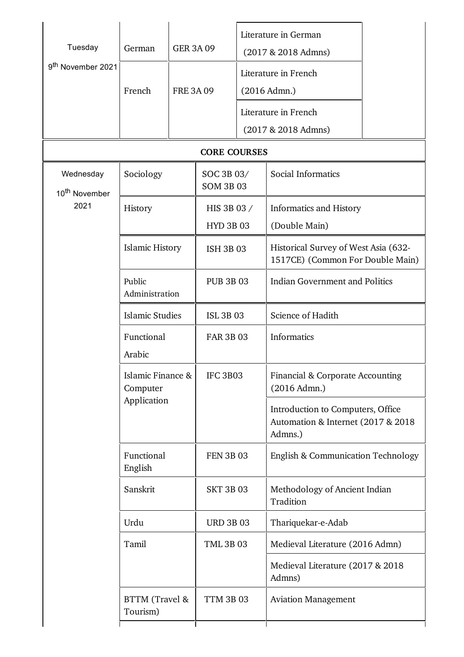| Tuesday                                | German                                       | <b>GER 3A 09</b> |                                |                       | Literature in German<br>(2017 & 2018 Admns)                                         |  |
|----------------------------------------|----------------------------------------------|------------------|--------------------------------|-----------------------|-------------------------------------------------------------------------------------|--|
| 9 <sup>th</sup> November 2021          | French                                       |                  | <b>FRE 3A 09</b>               |                       | Literature in French<br>(2016 Admn.)                                                |  |
|                                        |                                              |                  |                                |                       | Literature in French                                                                |  |
|                                        |                                              |                  |                                | $(2017 & 2018$ Admns) |                                                                                     |  |
|                                        |                                              |                  | <b>CORE COURSES</b>            |                       |                                                                                     |  |
| Wednesday<br>10 <sup>th</sup> November | Sociology                                    |                  | SOC 3B 03/<br><b>SOM 3B 03</b> |                       | Social Informatics                                                                  |  |
| 2021                                   | History                                      |                  | HIS 3B 03 /                    |                       | Informatics and History                                                             |  |
|                                        |                                              |                  | <b>HYD 3B 03</b>               |                       | (Double Main)                                                                       |  |
|                                        | <b>Islamic History</b>                       |                  | <b>ISH 3B 03</b>               |                       | Historical Survey of West Asia (632-<br>1517CE) (Common For Double Main)            |  |
|                                        | Public<br>Administration                     |                  | <b>PUB 3B 03</b>               |                       | <b>Indian Government and Politics</b>                                               |  |
|                                        | <b>Islamic Studies</b>                       |                  | <b>ISL 3B 03</b>               |                       | Science of Hadith                                                                   |  |
|                                        | Functional<br>Arabic                         |                  | <b>FAR 3B 03</b>               |                       | Informatics                                                                         |  |
|                                        | Islamic Finance &<br>Computer<br>Application |                  | IFC 3B03                       |                       | Financial & Corporate Accounting<br>(2016 Admn.)                                    |  |
|                                        |                                              |                  |                                |                       | Introduction to Computers, Office<br>Automation & Internet (2017 & 2018)<br>Admns.) |  |
|                                        | Functional<br>English                        |                  | <b>FEN 3B 03</b>               |                       | English & Communication Technology                                                  |  |
|                                        | Sanskrit                                     |                  | <b>SKT 3B 03</b>               |                       | Methodology of Ancient Indian<br>Tradition                                          |  |
|                                        | Urdu                                         |                  | <b>URD 3B 03</b>               |                       | Thariquekar-e-Adab                                                                  |  |
|                                        | Tamil                                        |                  | <b>TML 3B 03</b>               |                       | Medieval Literature (2016 Admn)                                                     |  |
|                                        |                                              |                  |                                |                       | Medieval Literature (2017 & 2018)<br>Admns)                                         |  |
|                                        | BTTM (Travel &<br>Tourism)                   |                  | <b>TTM 3B 03</b>               |                       | <b>Aviation Management</b>                                                          |  |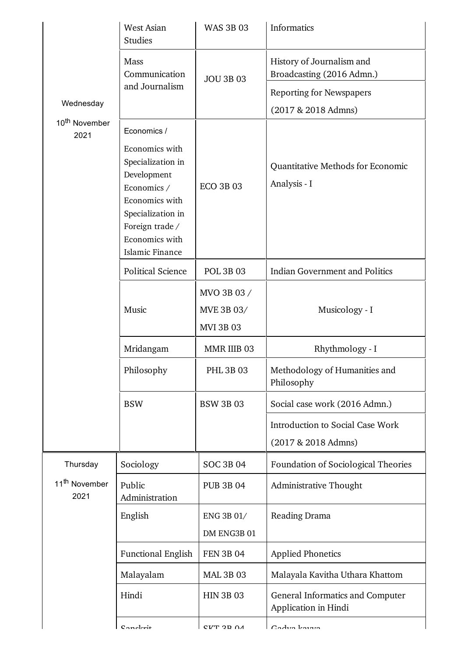|                                   | <b>West Asian</b><br><b>Studies</b>                                                                                                                              | <b>WAS 3B 03</b>                              | Informatics                                              |
|-----------------------------------|------------------------------------------------------------------------------------------------------------------------------------------------------------------|-----------------------------------------------|----------------------------------------------------------|
|                                   | Mass<br>Communication                                                                                                                                            | <b>JOU 3B 03</b>                              | History of Journalism and<br>Broadcasting (2016 Admn.)   |
|                                   | and Journalism                                                                                                                                                   |                                               | <b>Reporting for Newspapers</b>                          |
| Wednesday                         |                                                                                                                                                                  |                                               | (2017 & 2018 Admns)                                      |
| 10 <sup>th</sup> November<br>2021 | Economics /                                                                                                                                                      |                                               |                                                          |
|                                   | Economics with<br>Specialization in<br>Development<br>Economics /<br>Economics with<br>Specialization in<br>Foreign trade /<br>Economics with<br>Islamic Finance | <b>ECO 3B 03</b>                              | Quantitative Methods for Economic<br>Analysis - I        |
|                                   | <b>Political Science</b>                                                                                                                                         | <b>POL 3B 03</b>                              | <b>Indian Government and Politics</b>                    |
|                                   | Music                                                                                                                                                            | MVO 3B 03 /<br>MVE 3B 03/<br><b>MVI 3B 03</b> | Musicology - I                                           |
|                                   | Mridangam                                                                                                                                                        | MMR IIIB 03                                   | Rhythmology - I                                          |
|                                   | Philosophy                                                                                                                                                       | <b>PHL 3B 03</b>                              | Methodology of Humanities and<br>Philosophy              |
|                                   | <b>BSW</b>                                                                                                                                                       | <b>BSW 3B 03</b>                              | Social case work (2016 Admn.)                            |
|                                   |                                                                                                                                                                  |                                               | Introduction to Social Case Work<br>(2017 & 2018 Admns)  |
| Thursday                          | Sociology                                                                                                                                                        | <b>SOC 3B 04</b>                              | Foundation of Sociological Theories                      |
| 11 <sup>th</sup> November<br>2021 | Public<br>Administration                                                                                                                                         | <b>PUB 3B 04</b>                              | Administrative Thought                                   |
|                                   | English                                                                                                                                                          | ENG 3B 01/<br>DM ENG3B 01                     | Reading Drama                                            |
|                                   | <b>Functional English</b>                                                                                                                                        | <b>FEN 3B 04</b>                              | <b>Applied Phonetics</b>                                 |
|                                   | Malayalam                                                                                                                                                        | <b>MAL 3B 03</b>                              | Malayala Kavitha Uthara Khattom                          |
|                                   | Hindi                                                                                                                                                            | <b>HIN 3B 03</b>                              | General Informatics and Computer<br>Application in Hindi |
|                                   | $C$ oncl $r$ it                                                                                                                                                  | <b>CI/T 2D NA</b>                             | Cadya kaira                                              |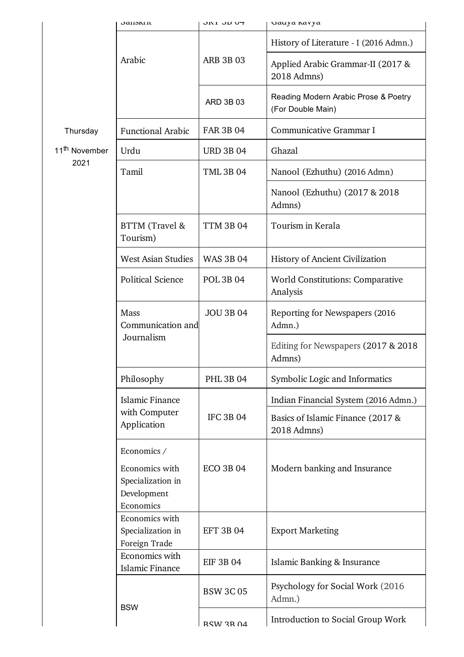|                                   | <b>J</b> aliski il                                                             | די מכ זע         | wauya navya                                               |
|-----------------------------------|--------------------------------------------------------------------------------|------------------|-----------------------------------------------------------|
|                                   |                                                                                |                  | History of Literature - I (2016 Admn.)                    |
|                                   | Arabic                                                                         | <b>ARB 3B 03</b> | Applied Arabic Grammar-II (2017 &<br>2018 Admns)          |
|                                   |                                                                                | ARD 3B 03        | Reading Modern Arabic Prose & Poetry<br>(For Double Main) |
| Thursday                          | <b>Functional Arabic</b>                                                       | <b>FAR 3B 04</b> | Communicative Grammar I                                   |
| 11 <sup>th</sup> November<br>2021 | Urdu                                                                           | <b>URD 3B 04</b> | Ghazal                                                    |
|                                   | Tamil                                                                          | <b>TML 3B 04</b> | Nanool (Ezhuthu) (2016 Admn)                              |
|                                   |                                                                                |                  | Nanool (Ezhuthu) (2017 & 2018<br>Admns)                   |
|                                   | BTTM (Travel &<br>Tourism)                                                     | <b>TTM 3B 04</b> | Tourism in Kerala                                         |
|                                   | <b>West Asian Studies</b>                                                      | <b>WAS 3B 04</b> | History of Ancient Civilization                           |
|                                   | <b>Political Science</b>                                                       | <b>POL 3B 04</b> | <b>World Constitutions: Comparative</b><br>Analysis       |
|                                   | Mass<br>Communication and<br>Journalism                                        | <b>JOU 3B 04</b> | Reporting for Newspapers (2016)<br>Admn.)                 |
|                                   |                                                                                |                  | Editing for Newspapers (2017 & 2018)<br>Admns)            |
|                                   | Philosophy                                                                     | <b>PHL 3B 04</b> | Symbolic Logic and Informatics                            |
|                                   | <b>Islamic Finance</b><br>with Computer<br>Application                         | <b>IFC 3B 04</b> | Indian Financial System (2016 Admn.)                      |
|                                   |                                                                                |                  | Basics of Islamic Finance (2017 &<br>2018 Admns)          |
|                                   | Economics /<br>Economics with<br>Specialization in<br>Development<br>Economics | <b>ECO 3B 04</b> | Modern banking and Insurance                              |
|                                   | Economics with<br>Specialization in<br>Foreign Trade                           | <b>EFT 3B 04</b> | <b>Export Marketing</b>                                   |
|                                   | Economics with<br><b>Islamic Finance</b>                                       | <b>EIF 3B 04</b> | Islamic Banking & Insurance                               |
|                                   | <b>BSW</b>                                                                     | <b>BSW 3C 05</b> | Psychology for Social Work (2016)<br>Admn.)               |
|                                   |                                                                                | <b>RSW 3R 04</b> | Introduction to Social Group Work                         |